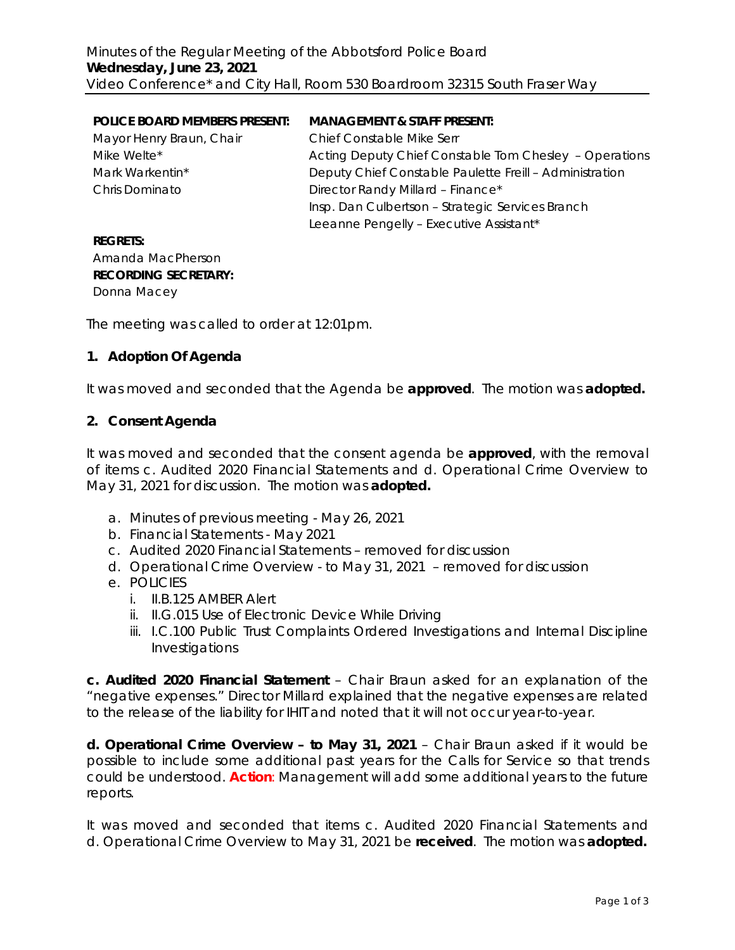| <b>POLICE BOARD MEMBERS PRESENT:</b> | <b>MANAGEMENT &amp; STAFF PRESENT:</b>                  |
|--------------------------------------|---------------------------------------------------------|
| Mayor Henry Braun, Chair             | Chief Constable Mike Serr                               |
| Mike Welte*                          | Acting Deputy Chief Constable Tom Chesley - Operations  |
| Mark Warkentin*                      | Deputy Chief Constable Paulette Freill - Administration |
| Chris Dominato                       | Director Randy Millard - Finance*                       |
|                                      | Insp. Dan Culbertson - Strategic Services Branch        |
|                                      | Leeanne Pengelly - Executive Assistant*                 |
|                                      |                                                         |

#### **REGRETS:** Amanda MacPherson **RECORDING SECRETARY:** Donna Macey

The meeting was called to order at 12:01pm.

## **1. Adoption Of Agenda**

It was moved and seconded that the Agenda be **approved**.The motion was **adopted.**

#### **2. Consent Agenda**

It was moved and seconded that the consent agenda be **approved**, with the removal of items c. Audited 2020 Financial Statements and d. Operational Crime Overview to May 31, 2021 for discussion. The motion was **adopted.**

- a. Minutes of previous meeting May 26, 2021
- b. Financial Statements May 2021
- c. Audited 2020 Financial Statements removed for discussion
- d. Operational Crime Overview to May 31, 2021 removed for discussion
- e. POLICIES
	- i. II.B.125 AMBER Alert
	- ii. II.G.015 Use of Electronic Device While Driving
	- iii. I.C.100 Public Trust Complaints Ordered Investigations and Internal Discipline Investigations

**c. Audited 2020 Financial Statement** – Chair Braun asked for an explanation of the "negative expenses." Director Millard explained that the negative expenses are related to the release of the liability for IHIT and noted that it will not occur year-to-year.

**d. Operational Crime Overview – to May 31, 2021** – Chair Braun asked if it would be possible to include some additional past years for the Calls for Service so that trends could be understood. **Action**: Management will add some additional years to the future reports.

It was moved and seconded that items c. Audited 2020 Financial Statements and d. Operational Crime Overview to May 31, 2021 be **received**. The motion was **adopted.**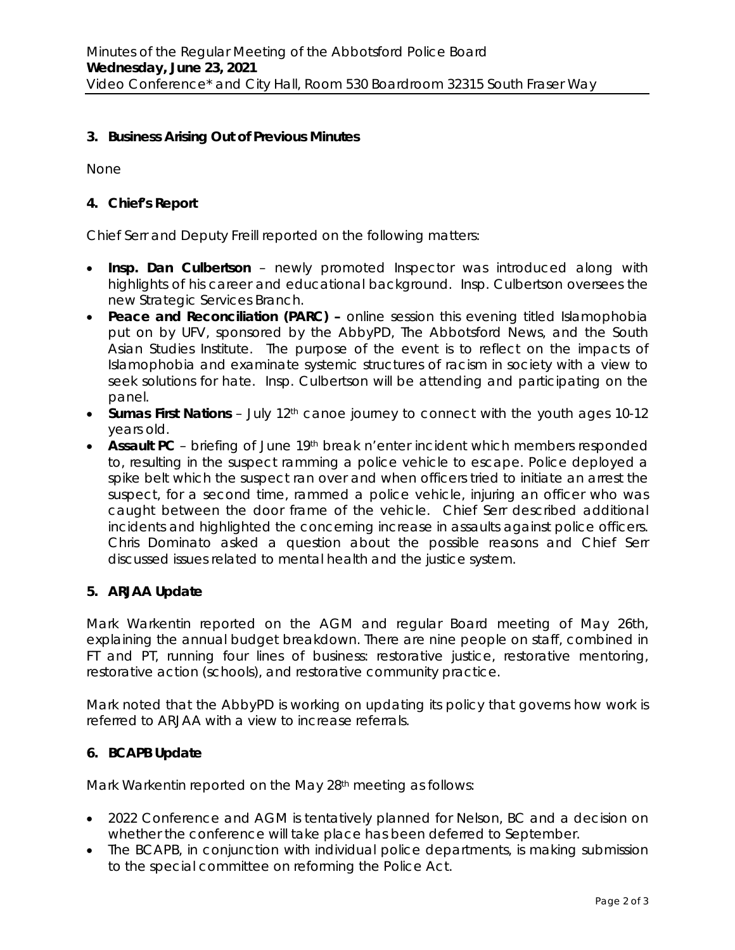# **3. Business Arising Out of Previous Minutes**

None

## **4. Chief's Report**

Chief Serr and Deputy Freill reported on the following matters:

- **Insp. Dan Culbertson** newly promoted Inspector was introduced along with highlights of his career and educational background. Insp. Culbertson oversees the new Strategic Services Branch.
- **Peace and Reconciliation (PARC) –** online session this evening titled *Islamophobia* put on by UFV, sponsored by the AbbyPD, The Abbotsford News, and the South Asian Studies Institute. The purpose of the event is to reflect on the impacts of Islamophobia and examinate systemic structures of racism in society with a view to seek solutions for hate. Insp. Culbertson will be attending and participating on the panel.
- **Sumas First Nations** July 12<sup>th</sup> canoe journey to connect with the youth ages 10-12 years old.
- **Assault PC** briefing of June 19<sup>th</sup> break n'enter incident which members responded to, resulting in the suspect ramming a police vehicle to escape. Police deployed a spike belt which the suspect ran over and when officers tried to initiate an arrest the suspect, for a second time, rammed a police vehicle, injuring an officer who was caught between the door frame of the vehicle. Chief Serr described additional incidents and highlighted the concerning increase in assaults against police officers. Chris Dominato asked a question about the possible reasons and Chief Serr discussed issues related to mental health and the justice system.

## **5. ARJAA Update**

Mark Warkentin reported on the AGM and regular Board meeting of May 26th, explaining the annual budget breakdown. There are nine people on staff, combined in FT and PT, running four lines of business: restorative justice, restorative mentoring, restorative action (schools), and restorative community practice.

Mark noted that the AbbyPD is working on updating its policy that governs how work is referred to ARJAA with a view to increase referrals.

## **6. BCAPB Update**

Mark Warkentin reported on the May 28<sup>th</sup> meeting as follows:

- 2022 Conference and AGM is tentatively planned for Nelson, BC and a decision on whether the conference will take place has been deferred to September.
- The BCAPB, in conjunction with individual police departments, is making submission to the special committee on reforming the *Police Act.*